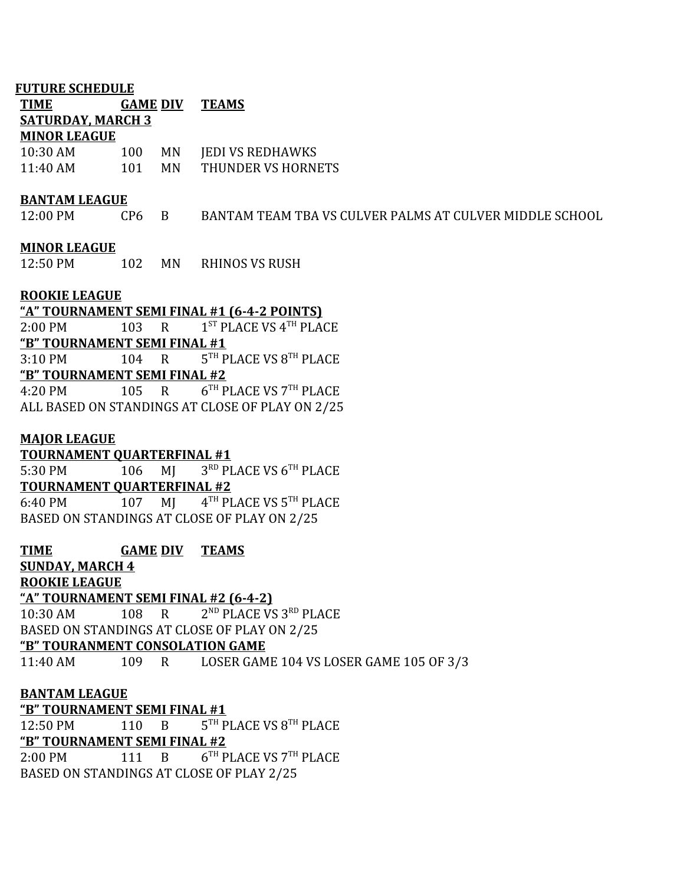### **FUTURE SCHEDULE**

| <b>TIME</b>              | <b>GAME DIV</b> |           | <b>TEAMS</b>            |
|--------------------------|-----------------|-----------|-------------------------|
| <b>SATURDAY, MARCH 3</b> |                 |           |                         |
| <b>MINOR LEAGUE</b>      |                 |           |                         |
| $10:30$ AM               | 100             | MN        | <b>JEDI VS REDHAWKS</b> |
| $11:40$ AM               | 101             | <b>MN</b> | THUNDER VS HORNETS      |

#### **BANTAM LEAGUE**

12:00 PM CP6 B BANTAM TEAM TBA VS CULVER PALMS AT CULVER MIDDLE SCHOOL

### **MINOR LEAGUE**

12:50 PM 102 MN RHINOS VS RUSH

## **ROOKIE LEAGUE**

**"A" TOURNAMENT SEMI FINAL #1 (6-4-2 POINTS)** 2:00 PM 103 R  $\mathrm{^{ST}}$  PLACE VS  $\mathrm{^{4}}$ <sup>TH</sup> PLACE **"B" TOURNAMENT SEMI FINAL #1** 3:10 PM 104 R  $^{TH}$  PLACE VS  $8^{TH}$  PLACE **"B" TOURNAMENT SEMI FINAL #2** 4:20 PM 105 R 6  $^{TH}$  PLACE VS  $7^{TH}$  PLACE ALL BASED ON STANDINGS AT CLOSE OF PLAY ON 2/25

### **MAJOR LEAGUE**

**TOURNAMENT QUARTERFINAL #1** 5:30 PM 106 MJ RD PLACE VS 6TH PLACE **TOURNAMENT QUARTERFINAL #2** 6:40 PM 107 MI TH PLACE VS 5TH PLACE BASED ON STANDINGS AT CLOSE OF PLAY ON 2/25

**TIME GAME DIV TEAMS SUNDAY, MARCH 4 ROOKIE LEAGUE "A" TOURNAMENT SEMI FINAL #2 (6-4-2)** 10:30 AM 108 R <sup>ND</sup> PLACE VS 3<sup>RD</sup> PLACE BASED ON STANDINGS AT CLOSE OF PLAY ON 2/25 **"B" TOURANMENT CONSOLATION GAME** 11:40 AM 109 R LOSER GAME 104 VS LOSER GAME 105 OF 3/3 **BANTAM LEAGUE "B" TOURNAMENT SEMI FINAL #1** 12:50 PM 110 B  $^{TH}$  PLACE VS  $8^{TH}$  PLACE **"B" TOURNAMENT SEMI FINAL #2**

2:00 PM 111 B  $^{TH}$  PLACE VS  $7^{TH}$  PLACE BASED ON STANDINGS AT CLOSE OF PLAY 2/25